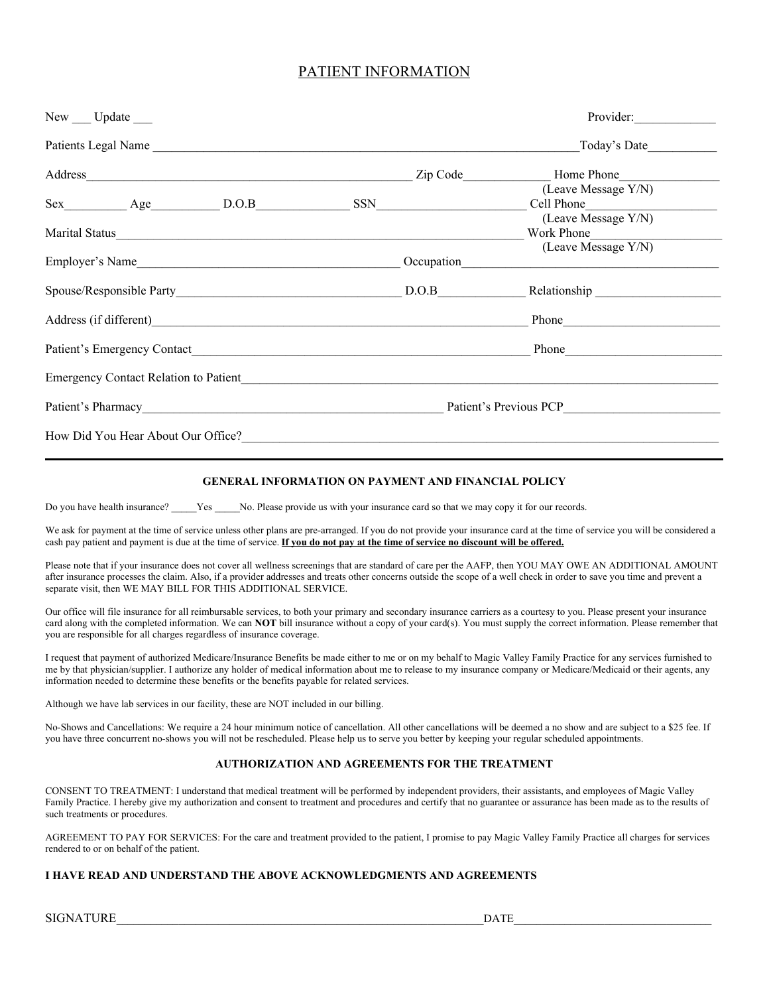## PATIENT INFORMATION

|                                                                                                                                                                                                                                      | New __ Update __                   |                                              |                                           | Provider:                                                |  |
|--------------------------------------------------------------------------------------------------------------------------------------------------------------------------------------------------------------------------------------|------------------------------------|----------------------------------------------|-------------------------------------------|----------------------------------------------------------|--|
|                                                                                                                                                                                                                                      |                                    | Patients Legal Name                          |                                           | Today's Date                                             |  |
|                                                                                                                                                                                                                                      |                                    |                                              |                                           | Zip Code Home Phone                                      |  |
|                                                                                                                                                                                                                                      |                                    | Sex Age D.O.B SSN                            |                                           | (Leave Message Y/N)<br>Cell Phone<br>(Leave Message Y/N) |  |
| Marital Status                                                                                                                                                                                                                       |                                    |                                              |                                           | Work Phone                                               |  |
| Employer's Name                                                                                                                                                                                                                      |                                    |                                              | Occupation                                | (Leave Message Y/N)                                      |  |
| Spouse/Responsible Party D.O.B Relationship                                                                                                                                                                                          |                                    |                                              |                                           |                                                          |  |
| Address (if different)<br><u>Address</u> (if different)                                                                                                                                                                              |                                    |                                              |                                           |                                                          |  |
| Patient's Emergency Contact <b>Exercise 2.1 Figure 2.1 Figure 2.1 Figure 2.1 Figure 2.1 Figure 2.1 Figure 2.1 Figure 2.1 Figure 2.1 Figure 2.1 Figure 2.1 Figure 2.1 Figure 2.1 Figure 2.1 Figure 2.1 Figure 2.1 Figure 2.1 Figu</b> |                                    |                                              |                                           | Phone                                                    |  |
|                                                                                                                                                                                                                                      |                                    | <b>Emergency Contact Relation to Patient</b> |                                           |                                                          |  |
|                                                                                                                                                                                                                                      |                                    |                                              | Patient's Pharmacy Patient's Previous PCP |                                                          |  |
|                                                                                                                                                                                                                                      | How Did You Hear About Our Office? |                                              |                                           |                                                          |  |

#### **GENERAL INFORMATION ON PAYMENT AND FINANCIAL POLICY**

Do you have health insurance? Yes No. Please provide us with your insurance card so that we may copy it for our records.

We ask for payment at the time of service unless other plans are pre-arranged. If you do not provide your insurance card at the time of service you will be considered a cash pay patient and payment is due at the time of service. **If you do not pay at the time of service no discount will be offered.**

Please note that if your insurance does not cover all wellness screenings that are standard of care per the AAFP, then YOU MAY OWE AN ADDITIONAL AMOUNT after insurance processes the claim. Also, if a provider addresses and treats other concerns outside the scope of a well check in order to save you time and prevent a separate visit, then WE MAY BILL FOR THIS ADDITIONAL SERVICE.

Our office will file insurance for all reimbursable services, to both your primary and secondary insurance carriers as a courtesy to you. Please present your insurance card along with the completed information. We can **NOT** bill insurance without a copy of your card(s). You must supply the correct information. Please remember that you are responsible for all charges regardless of insurance coverage.

I request that payment of authorized Medicare/Insurance Benefits be made either to me or on my behalf to Magic Valley Family Practice for any services furnished to me by that physician/supplier. I authorize any holder of medical information about me to release to my insurance company or Medicare/Medicaid or their agents, any information needed to determine these benefits or the benefits payable for related services.

Although we have lab services in our facility, these are NOT included in our billing.

No-Shows and Cancellations: We require a 24 hour minimum notice of cancellation. All other cancellations will be deemed a no show and are subject to a \$25 fee. If you have three concurrent no-shows you will not be rescheduled. Please help us to serve you better by keeping your regular scheduled appointments.

#### **AUTHORIZATION AND AGREEMENTS FOR THE TREATMENT**

CONSENT TO TREATMENT: I understand that medical treatment will be performed by independent providers, their assistants, and employees of Magic Valley Family Practice. I hereby give my authorization and consent to treatment and procedures and certify that no guarantee or assurance has been made as to the results of such treatments or procedures.

AGREEMENT TO PAY FOR SERVICES: For the care and treatment provided to the patient, I promise to pay Magic Valley Family Practice all charges for services rendered to or on behalf of the patient.

#### **I HAVE READ AND UNDERSTAND THE ABOVE ACKNOWLEDGMENTS AND AGREEMENTS**

SIGNATURE THE LOSS OF LIGHT AND SERVICE AND LOSS OF LIGHT AND LOSS OF LIGHT AND LOSS OF LIGHT AND LOSS OF LIGHT AND LOSS OF LIGHT AND LOSS OF LIGHT AND LOSS OF LIGHT AND LOSS OF LIGHT AND LOSS OF LIGHT AND LOSS OF LIGHT AN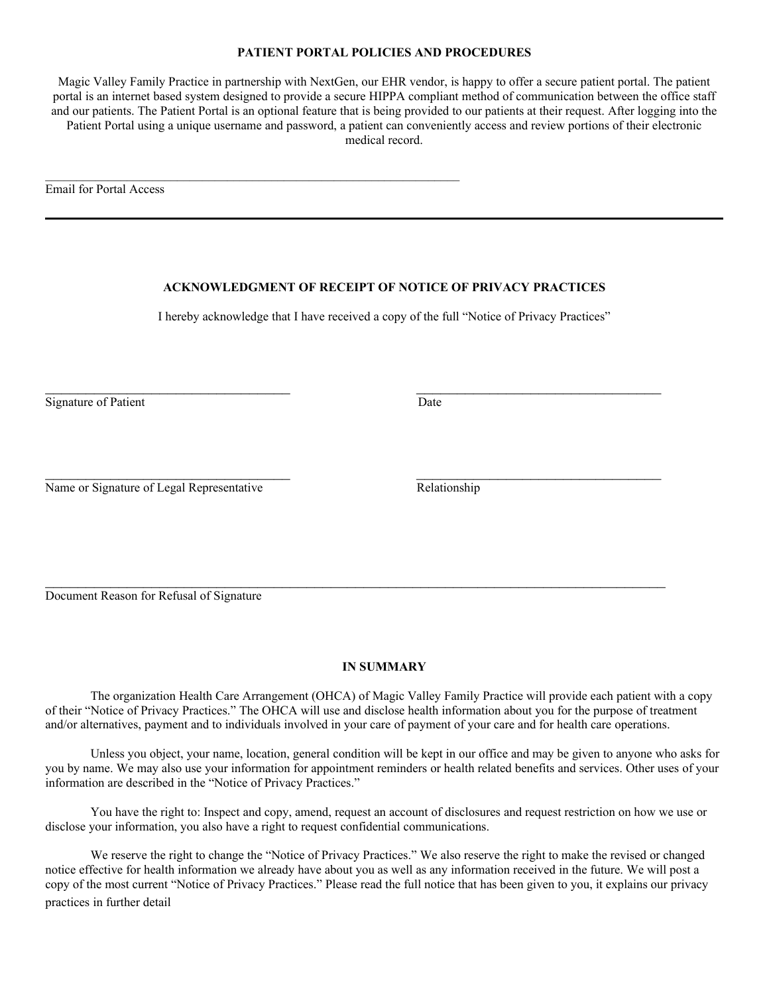#### **PATIENT PORTAL POLICIES AND PROCEDURES**

Magic Valley Family Practice in partnership with NextGen, our EHR vendor, is happy to offer a secure patient portal. The patient portal is an internet based system designed to provide a secure HIPPA compliant method of communication between the office staff and our patients. The Patient Portal is an optional feature that is being provided to our patients at their request. After logging into the Patient Portal using a unique username and password, a patient can conveniently access and review portions of their electronic medical record.

Email for Portal Access

### **ACKNOWLEDGMENT OF RECEIPT OF NOTICE OF PRIVACY PRACTICES**

I hereby acknowledge that I have received a copy of the full "Notice of Privacy Practices"

Signature of Patient Date

Name or Signature of Legal Representative Relationship

Document Reason for Refusal of Signature

#### **IN SUMMARY**

The organization Health Care Arrangement (OHCA) of Magic Valley Family Practice will provide each patient with a copy of their "Notice of Privacy Practices." The OHCA will use and disclose health information about you for the purpose of treatment and/or alternatives, payment and to individuals involved in your care of payment of your care and for health care operations.

Unless you object, your name, location, general condition will be kept in our office and may be given to anyone who asks for you by name. We may also use your information for appointment reminders or health related benefits and services. Other uses of your information are described in the "Notice of Privacy Practices."

You have the right to: Inspect and copy, amend, request an account of disclosures and request restriction on how we use or disclose your information, you also have a right to request confidential communications.

We reserve the right to change the "Notice of Privacy Practices." We also reserve the right to make the revised or changed notice effective for health information we already have about you as well as any information received in the future. We will post a copy of the most current "Notice of Privacy Practices." Please read the full notice that has been given to you, it explains our privacy practices in further detail